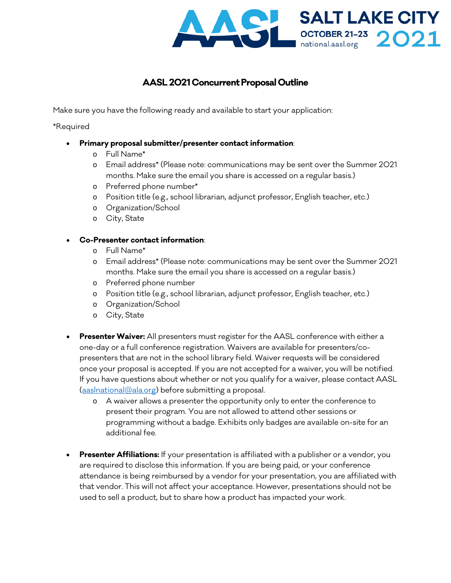

## **AASL 2021 Concurrent Proposal Outline**

Make sure you have the following ready and available to start your application:

\*Required

- **Primary proposal submitter/presenter contact information**:
	- o Full Name\*
	- o Email address\* (Please note: communications may be sent over the Summer 2021 months. Make sure the email you share is accessed on a regular basis.)
	- o Preferred phone number\*
	- o Position title (e.g., school librarian, adjunct professor, English teacher, etc.)
	- o Organization/School
	- o City, State

## • **Co-Presenter contact information**:

- o Full Name\*
- o Email address\* (Please note: communications may be sent over the Summer 2021 months. Make sure the email you share is accessed on a regular basis.)
- o Preferred phone number
- o Position title (e.g., school librarian, adjunct professor, English teacher, etc.)
- o Organization/School
- o City, State
- **Presenter Waiver:** All presenters must register for the AASL conference with either a one-day or a full conference registration. Waivers are available for presenters/copresenters that are not in the school library field. Waiver requests will be considered once your proposal is accepted. If you are not accepted for a waiver, you will be notified. If you have questions about whether or not you qualify for a waiver, please contact AASL [\(aaslnational@ala.org\)](mailto:aaslnational@ala.org) before submitting a proposal.
	- o A waiver allows a presenter the opportunity only to enter the conference to present their program. You are not allowed to attend other sessions or programming without a badge. Exhibits only badges are available on-site for an additional fee.
- **Presenter Affiliations:** If your presentation is affiliated with a publisher or a vendor, you are required to disclose this information. If you are being paid, or your conference attendance is being reimbursed by a vendor for your presentation, you are affiliated with that vendor. This will not affect your acceptance. However, presentations should not be used to sell a product, but to share how a product has impacted your work.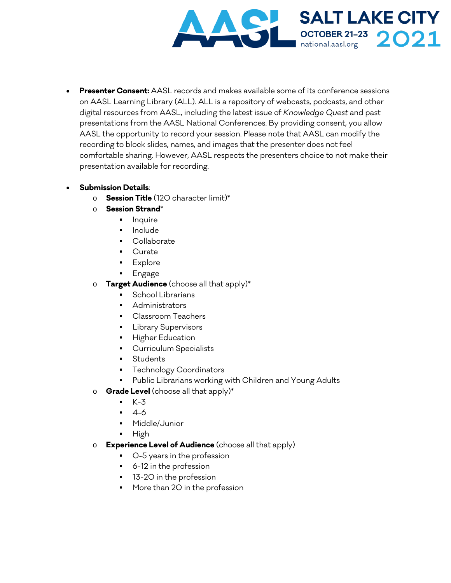

• **Presenter Consent:** AASL records and makes available some of its conference sessions on AASL Learning Library (ALL). ALL is a repository of webcasts, podcasts, and other digital resources from AASL, including the latest issue of *Knowledge Quest* and past presentations from the AASL National Conferences. By providing consent, you allow AASL the opportunity to record your session. Please note that AASL can modify the recording to block slides, names, and images that the presenter does not feel comfortable sharing. However, AASL respects the presenters choice to not make their presentation available for recording.

## • **Submission Details**:

- o **Session Title** (120 character limit)\*
- o **Session Strand**\*
	- **Inquire**
	- **Include**
	- Collaborate
	- Curate
	- Explore
	- **Engage**
- o **Target Audience** (choose all that apply)\*
	- **School Librarians**
	- **Administrators**
	- **Classroom Teachers**
	- **Library Supervisors**
	- **Higher Education**
	- **Curriculum Specialists**
	- **Students**
	- Technology Coordinators
	- **Public Librarians working with Children and Young Adults**
- o **Grade Level** (choose all that apply)\*
	- $K-3$
	- 4-6
	- Middle/Junior
	- $-High$
- o **Experience Level of Audience** (choose all that apply)
	- 0-5 years in the profession
	- 6-12 in the profession
	- **13-20** in the profession
	- **More than 20 in the profession**